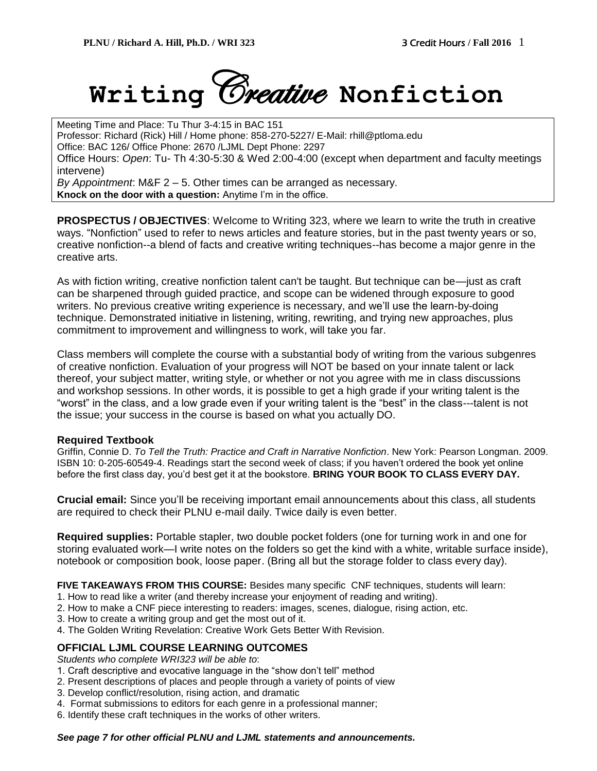

Meeting Time and Place: Tu Thur 3-4:15 in BAC 151 Professor: Richard (Rick) Hill / Home phone: 858-270-5227/ E-Mail: rhill@ptloma.edu Office: BAC 126/ Office Phone: 2670 /LJML Dept Phone: 2297 Office Hours: *Open*: Tu- Th 4:30-5:30 & Wed 2:00-4:00 (except when department and faculty meetings intervene) *By Appointment*: M&F 2 – 5. Other times can be arranged as necessary. **Knock on the door with a question:** Anytime I'm in the office.

**PROSPECTUS / OBJECTIVES**: Welcome to Writing 323, where we learn to write the truth in creative ways. "Nonfiction" used to refer to news articles and feature stories, but in the past twenty years or so, creative nonfiction--a blend of facts and creative writing techniques--has become a major genre in the creative arts.

As with fiction writing, creative nonfiction talent can't be taught. But technique can be—just as craft can be sharpened through guided practice, and scope can be widened through exposure to good writers. No previous creative writing experience is necessary, and we'll use the learn-by-doing technique. Demonstrated initiative in listening, writing, rewriting, and trying new approaches, plus commitment to improvement and willingness to work, will take you far.

Class members will complete the course with a substantial body of writing from the various subgenres of creative nonfiction. Evaluation of your progress will NOT be based on your innate talent or lack thereof, your subject matter, writing style, or whether or not you agree with me in class discussions and workshop sessions. In other words, it is possible to get a high grade if your writing talent is the "worst" in the class, and a low grade even if your writing talent is the "best" in the class---talent is not the issue; your success in the course is based on what you actually DO.

#### **Required Textbook**

Griffin, Connie D. *To Tell the Truth: Practice and Craft in Narrative Nonfiction*. New York: Pearson Longman. 2009. ISBN 10: 0-205-60549-4. Readings start the second week of class; if you haven't ordered the book yet online before the first class day, you'd best get it at the bookstore. **BRING YOUR BOOK TO CLASS EVERY DAY.**

**Crucial email:** Since you'll be receiving important email announcements about this class, all students are required to check their PLNU e-mail daily. Twice daily is even better.

**Required supplies:** Portable stapler, two double pocket folders (one for turning work in and one for storing evaluated work—I write notes on the folders so get the kind with a white, writable surface inside), notebook or composition book, loose paper. (Bring all but the storage folder to class every day).

**FIVE TAKEAWAYS FROM THIS COURSE:** Besides many specific CNF techniques, students will learn:

- 1. How to read like a writer (and thereby increase your enjoyment of reading and writing).
- 2. How to make a CNF piece interesting to readers: images, scenes, dialogue, rising action, etc.
- 3. How to create a writing group and get the most out of it.
- 4. The Golden Writing Revelation: Creative Work Gets Better With Revision.

#### **OFFICIAL LJML COURSE LEARNING OUTCOMES**

*Students who complete WRI323 will be able to*:

- 1. Craft descriptive and evocative language in the "show don't tell" method
- 2. Present descriptions of places and people through a variety of points of view
- 3. Develop conflict/resolution, rising action, and dramatic
- 4. Format submissions to editors for each genre in a professional manner;
- 6. Identify these craft techniques in the works of other writers.

#### *See page 7 for other official PLNU and LJML statements and announcements.*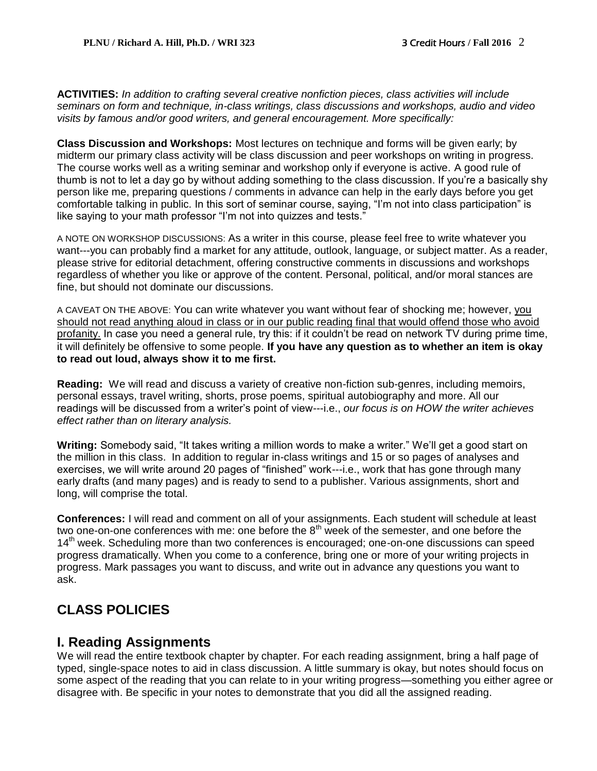**ACTIVITIES:** *In addition to crafting several creative nonfiction pieces, class activities will include seminars on form and technique, in-class writings, class discussions and workshops, audio and video visits by famous and/or good writers, and general encouragement. More specifically:*

**Class Discussion and Workshops:** Most lectures on technique and forms will be given early; by midterm our primary class activity will be class discussion and peer workshops on writing in progress. The course works well as a writing seminar and workshop only if everyone is active. A good rule of thumb is not to let a day go by without adding something to the class discussion. If you're a basically shy person like me, preparing questions / comments in advance can help in the early days before you get comfortable talking in public. In this sort of seminar course, saying, "I'm not into class participation" is like saying to your math professor "I'm not into quizzes and tests."

A NOTE ON WORKSHOP DISCUSSIONS: As a writer in this course, please feel free to write whatever you want---you can probably find a market for any attitude, outlook, language, or subject matter. As a reader, please strive for editorial detachment, offering constructive comments in discussions and workshops regardless of whether you like or approve of the content. Personal, political, and/or moral stances are fine, but should not dominate our discussions.

A CAVEAT ON THE ABOVE: You can write whatever you want without fear of shocking me; however, you should not read anything aloud in class or in our public reading final that would offend those who avoid profanity. In case you need a general rule, try this: if it couldn't be read on network TV during prime time, it will definitely be offensive to some people. **If you have any question as to whether an item is okay to read out loud, always show it to me first.**

**Reading:** We will read and discuss a variety of creative non-fiction sub-genres, including memoirs, personal essays, travel writing, shorts, prose poems, spiritual autobiography and more. All our readings will be discussed from a writer's point of view---i.e., *our focus is on HOW the writer achieves effect rather than on literary analysis.*

**Writing:** Somebody said, "It takes writing a million words to make a writer." We'll get a good start on the million in this class. In addition to regular in-class writings and 15 or so pages of analyses and exercises, we will write around 20 pages of "finished" work---i.e., work that has gone through many early drafts (and many pages) and is ready to send to a publisher. Various assignments, short and long, will comprise the total.

**Conferences:** I will read and comment on all of your assignments. Each student will schedule at least two one-on-one conferences with me: one before the  $8<sup>th</sup>$  week of the semester, and one before the 14<sup>th</sup> week. Scheduling more than two conferences is encouraged; one-on-one discussions can speed progress dramatically. When you come to a conference, bring one or more of your writing projects in progress. Mark passages you want to discuss, and write out in advance any questions you want to ask.

# **CLASS POLICIES**

# **I. Reading Assignments**

We will read the entire textbook chapter by chapter. For each reading assignment, bring a half page of typed, single-space notes to aid in class discussion. A little summary is okay, but notes should focus on some aspect of the reading that you can relate to in your writing progress—something you either agree or disagree with. Be specific in your notes to demonstrate that you did all the assigned reading.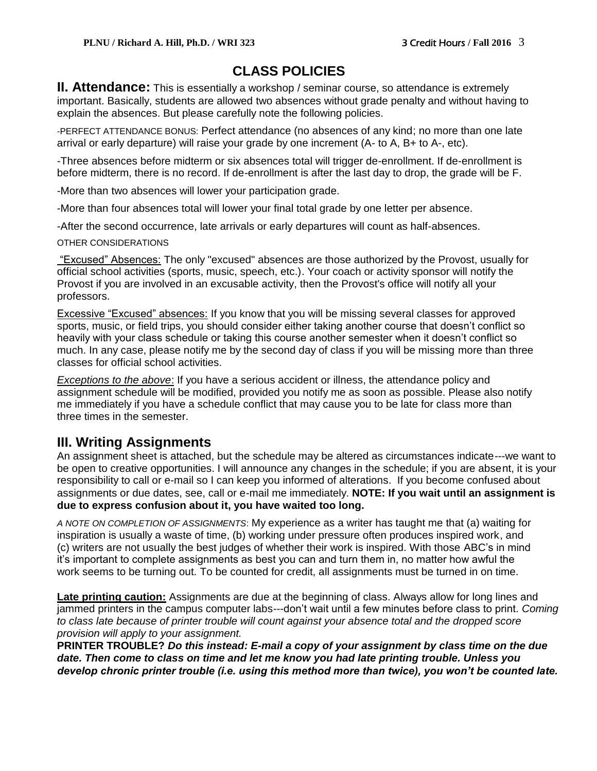# **CLASS POLICIES**

**II. Attendance:** This is essentially a workshop / seminar course, so attendance is extremely important. Basically, students are allowed two absences without grade penalty and without having to explain the absences. But please carefully note the following policies.

-PERFECT ATTENDANCE BONUS: Perfect attendance (no absences of any kind; no more than one late arrival or early departure) will raise your grade by one increment (A- to A, B+ to A-, etc).

-Three absences before midterm or six absences total will trigger de-enrollment. If de-enrollment is before midterm, there is no record. If de-enrollment is after the last day to drop, the grade will be F.

-More than two absences will lower your participation grade.

-More than four absences total will lower your final total grade by one letter per absence.

-After the second occurrence, late arrivals or early departures will count as half-absences.

OTHER CONSIDERATIONS

"Excused" Absences: The only "excused" absences are those authorized by the Provost, usually for official school activities (sports, music, speech, etc.). Your coach or activity sponsor will notify the Provost if you are involved in an excusable activity, then the Provost's office will notify all your professors.

Excessive "Excused" absences: If you know that you will be missing several classes for approved sports, music, or field trips, you should consider either taking another course that doesn't conflict so heavily with your class schedule or taking this course another semester when it doesn't conflict so much. In any case, please notify me by the second day of class if you will be missing more than three classes for official school activities.

*Exceptions to the above*: If you have a serious accident or illness, the attendance policy and assignment schedule will be modified, provided you notify me as soon as possible. Please also notify me immediately if you have a schedule conflict that may cause you to be late for class more than three times in the semester.

# **III. Writing Assignments**

An assignment sheet is attached, but the schedule may be altered as circumstances indicate---we want to be open to creative opportunities. I will announce any changes in the schedule; if you are absent, it is your responsibility to call or e-mail so I can keep you informed of alterations. If you become confused about assignments or due dates, see, call or e-mail me immediately. **NOTE: If you wait until an assignment is due to express confusion about it, you have waited too long.** 

*A NOTE ON COMPLETION OF ASSIGNMENTS*: My experience as a writer has taught me that (a) waiting for inspiration is usually a waste of time, (b) working under pressure often produces inspired work, and (c) writers are not usually the best judges of whether their work is inspired. With those ABC's in mind it's important to complete assignments as best you can and turn them in, no matter how awful the work seems to be turning out. To be counted for credit, all assignments must be turned in on time.

**Late printing caution:** Assignments are due at the beginning of class. Always allow for long lines and jammed printers in the campus computer labs---don't wait until a few minutes before class to print. *Coming to class late because of printer trouble will count against your absence total and the dropped score provision will apply to your assignment.* 

**PRINTER TROUBLE?** *Do this instead: E-mail a copy of your assignment by class time on the due date. Then come to class on time and let me know you had late printing trouble. Unless you develop chronic printer trouble (i.e. using this method more than twice), you won't be counted late.*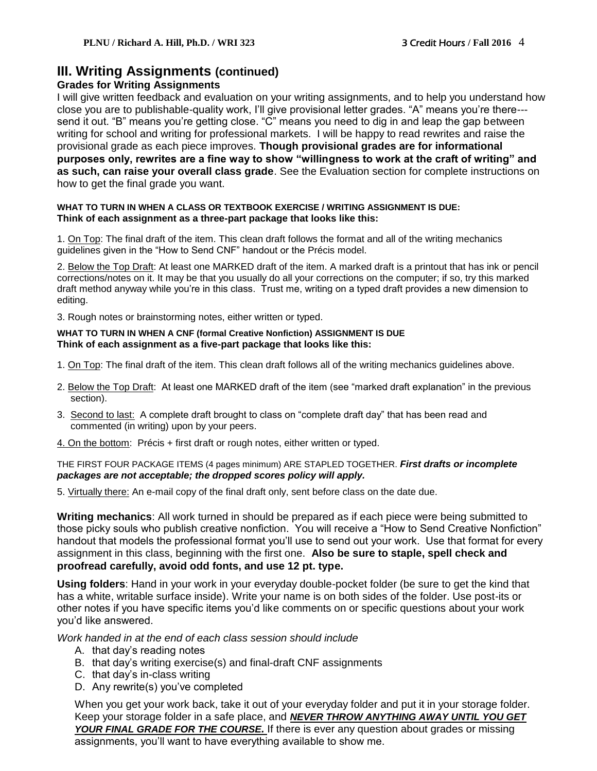# **III. Writing Assignments (continued)**

#### **Grades for Writing Assignments**

I will give written feedback and evaluation on your writing assignments, and to help you understand how close you are to publishable-quality work, I'll give provisional letter grades. "A" means you're there-- send it out. "B" means you're getting close. "C" means you need to dig in and leap the gap between writing for school and writing for professional markets. I will be happy to read rewrites and raise the provisional grade as each piece improves. **Though provisional grades are for informational purposes only, rewrites are a fine way to show "willingness to work at the craft of writing" and as such, can raise your overall class grade**. See the Evaluation section for complete instructions on how to get the final grade you want.

#### **WHAT TO TURN IN WHEN A CLASS OR TEXTBOOK EXERCISE / WRITING ASSIGNMENT IS DUE: Think of each assignment as a three-part package that looks like this:**

1. On Top: The final draft of the item. This clean draft follows the format and all of the writing mechanics guidelines given in the "How to Send CNF" handout or the Précis model.

2. Below the Top Draft: At least one MARKED draft of the item. A marked draft is a printout that has ink or pencil corrections/notes on it. It may be that you usually do all your corrections on the computer; if so, try this marked draft method anyway while you're in this class. Trust me, writing on a typed draft provides a new dimension to editing.

3. Rough notes or brainstorming notes, either written or typed.

#### **WHAT TO TURN IN WHEN A CNF (formal Creative Nonfiction) ASSIGNMENT IS DUE Think of each assignment as a five-part package that looks like this:**

- 1. On Top: The final draft of the item. This clean draft follows all of the writing mechanics guidelines above.
- 2. Below the Top Draft: At least one MARKED draft of the item (see "marked draft explanation" in the previous section).
- 3. Second to last: A complete draft brought to class on "complete draft day" that has been read and commented (in writing) upon by your peers.
- 4. On the bottom: Précis + first draft or rough notes, either written or typed.

THE FIRST FOUR PACKAGE ITEMS (4 pages minimum) ARE STAPLED TOGETHER. *First drafts or incomplete packages are not acceptable; the dropped scores policy will apply.* 

5. Virtually there: An e-mail copy of the final draft only, sent before class on the date due.

**Writing mechanics**: All work turned in should be prepared as if each piece were being submitted to those picky souls who publish creative nonfiction. You will receive a "How to Send Creative Nonfiction" handout that models the professional format you'll use to send out your work. Use that format for every assignment in this class, beginning with the first one. **Also be sure to staple, spell check and proofread carefully, avoid odd fonts, and use 12 pt. type.**

**Using folders**: Hand in your work in your everyday double-pocket folder (be sure to get the kind that has a white, writable surface inside). Write your name is on both sides of the folder. Use post-its or other notes if you have specific items you'd like comments on or specific questions about your work you'd like answered.

*Work handed in at the end of each class session should include*

- A. that day's reading notes
- B. that day's writing exercise(s) and final-draft CNF assignments
- C. that day's in-class writing
- D. Any rewrite(s) you've completed

When you get your work back, take it out of your everyday folder and put it in your storage folder. Keep your storage folder in a safe place, and *NEVER THROW ANYTHING AWAY UNTIL YOU GET YOUR FINAL GRADE FOR THE COURSE.* If there is ever any question about grades or missing assignments, you'll want to have everything available to show me.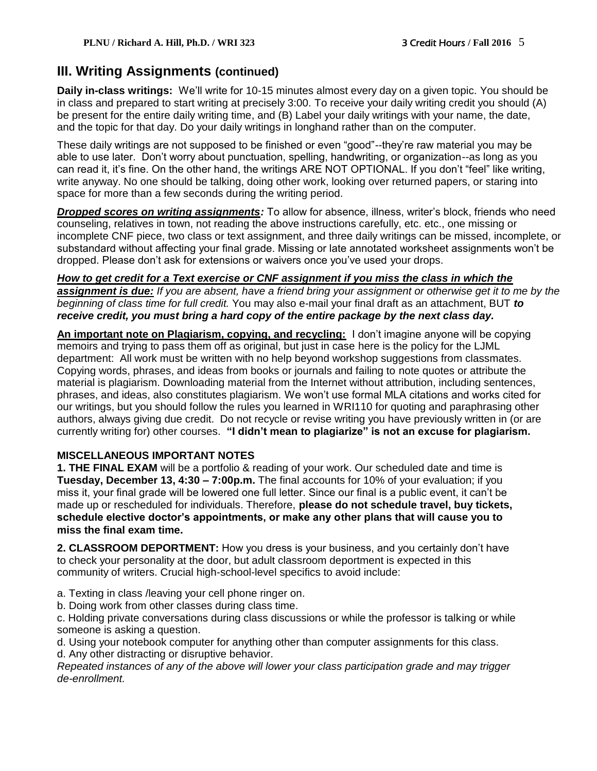# **III. Writing Assignments (continued)**

**Daily in-class writings:** We'll write for 10-15 minutes almost every day on a given topic. You should be in class and prepared to start writing at precisely 3:00. To receive your daily writing credit you should (A) be present for the entire daily writing time, and (B) Label your daily writings with your name, the date, and the topic for that day. Do your daily writings in longhand rather than on the computer.

These daily writings are not supposed to be finished or even "good"--they're raw material you may be able to use later. Don't worry about punctuation, spelling, handwriting, or organization--as long as you can read it, it's fine. On the other hand, the writings ARE NOT OPTIONAL. If you don't "feel" like writing, write anyway. No one should be talking, doing other work, looking over returned papers, or staring into space for more than a few seconds during the writing period.

*Dropped scores on writing assignments:* To allow for absence, illness, writer's block, friends who need counseling, relatives in town, not reading the above instructions carefully, etc. etc., one missing or incomplete CNF piece, two class or text assignment, and three daily writings can be missed, incomplete, or substandard without affecting your final grade. Missing or late annotated worksheet assignments won't be dropped. Please don't ask for extensions or waivers once you've used your drops.

## *How to get credit for a Text exercise or CNF assignment if you miss the class in which the*

*assignment is due: If you are absent, have a friend bring your assignment or otherwise get it to me by the beginning of class time for full credit.* You may also e-mail your final draft as an attachment, BUT *to receive credit, you must bring a hard copy of the entire package by the next class day.*

**An important note on Plagiarism, copying, and recycling:** I don't imagine anyone will be copying memoirs and trying to pass them off as original, but just in case here is the policy for the LJML department: All work must be written with no help beyond workshop suggestions from classmates. Copying words, phrases, and ideas from books or journals and failing to note quotes or attribute the material is plagiarism. Downloading material from the Internet without attribution, including sentences, phrases, and ideas, also constitutes plagiarism. We won't use formal MLA citations and works cited for our writings, but you should follow the rules you learned in WRI110 for quoting and paraphrasing other authors, always giving due credit. Do not recycle or revise writing you have previously written in (or are currently writing for) other courses. **"I didn't mean to plagiarize" is not an excuse for plagiarism.**

## **MISCELLANEOUS IMPORTANT NOTES**

**1. THE FINAL EXAM** will be a portfolio & reading of your work. Our scheduled date and time is **Tuesday, December 13, 4:30 – 7:00p.m.** The final accounts for 10% of your evaluation; if you miss it, your final grade will be lowered one full letter. Since our final is a public event, it can't be made up or rescheduled for individuals. Therefore, **please do not schedule travel, buy tickets, schedule elective doctor's appointments, or make any other plans that will cause you to miss the final exam time.**

**2. CLASSROOM DEPORTMENT:** How you dress is your business, and you certainly don't have to check your personality at the door, but adult classroom deportment is expected in this community of writers. Crucial high-school-level specifics to avoid include:

- a. Texting in class /leaving your cell phone ringer on.
- b. Doing work from other classes during class time.

c. Holding private conversations during class discussions or while the professor is talking or while someone is asking a question.

d. Using your notebook computer for anything other than computer assignments for this class. d. Any other distracting or disruptive behavior.

*Repeated instances of any of the above will lower your class participation grade and may trigger de-enrollment.*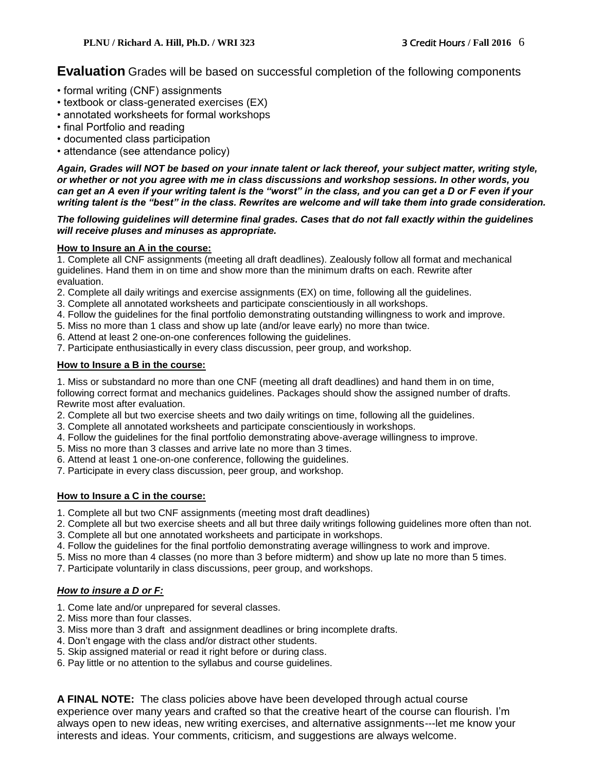**Evaluation** Grades will be based on successful completion of the following components

- formal writing (CNF) assignments
- textbook or class-generated exercises (EX)
- annotated worksheets for formal workshops
- final Portfolio and reading
- documented class participation
- attendance (see attendance policy)

*Again, Grades will NOT be based on your innate talent or lack thereof, your subject matter, writing style, or whether or not you agree with me in class discussions and workshop sessions. In other words, you can get an A even if your writing talent is the "worst" in the class, and you can get a D or F even if your writing talent is the "best" in the class. Rewrites are welcome and will take them into grade consideration.*

#### *The following guidelines will determine final grades. Cases that do not fall exactly within the guidelines will receive pluses and minuses as appropriate.*

#### **How to Insure an A in the course:**

1. Complete all CNF assignments (meeting all draft deadlines). Zealously follow all format and mechanical guidelines. Hand them in on time and show more than the minimum drafts on each. Rewrite after evaluation.

- 2. Complete all daily writings and exercise assignments (EX) on time, following all the guidelines.
- 3. Complete all annotated worksheets and participate conscientiously in all workshops.
- 4. Follow the guidelines for the final portfolio demonstrating outstanding willingness to work and improve.
- 5. Miss no more than 1 class and show up late (and/or leave early) no more than twice.
- 6. Attend at least 2 one-on-one conferences following the guidelines.
- 7. Participate enthusiastically in every class discussion, peer group, and workshop.

#### **How to Insure a B in the course:**

1. Miss or substandard no more than one CNF (meeting all draft deadlines) and hand them in on time, following correct format and mechanics guidelines. Packages should show the assigned number of drafts. Rewrite most after evaluation.

- 2. Complete all but two exercise sheets and two daily writings on time, following all the guidelines.
- 3. Complete all annotated worksheets and participate conscientiously in workshops.
- 4. Follow the guidelines for the final portfolio demonstrating above-average willingness to improve.
- 5. Miss no more than 3 classes and arrive late no more than 3 times.
- 6. Attend at least 1 one-on-one conference, following the guidelines.
- 7. Participate in every class discussion, peer group, and workshop.

#### **How to Insure a C in the course:**

- 1. Complete all but two CNF assignments (meeting most draft deadlines)
- 2. Complete all but two exercise sheets and all but three daily writings following guidelines more often than not.
- 3. Complete all but one annotated worksheets and participate in workshops.
- 4. Follow the guidelines for the final portfolio demonstrating average willingness to work and improve.
- 5. Miss no more than 4 classes (no more than 3 before midterm) and show up late no more than 5 times.
- 7. Participate voluntarily in class discussions, peer group, and workshops.

#### *How to insure a D or F:*

- 1. Come late and/or unprepared for several classes.
- 2. Miss more than four classes.
- 3. Miss more than 3 draft and assignment deadlines or bring incomplete drafts.
- 4. Don't engage with the class and/or distract other students.
- 5. Skip assigned material or read it right before or during class.
- 6. Pay little or no attention to the syllabus and course guidelines.

**A FINAL NOTE:** The class policies above have been developed through actual course experience over many years and crafted so that the creative heart of the course can flourish. I'm always open to new ideas, new writing exercises, and alternative assignments---let me know your interests and ideas. Your comments, criticism, and suggestions are always welcome.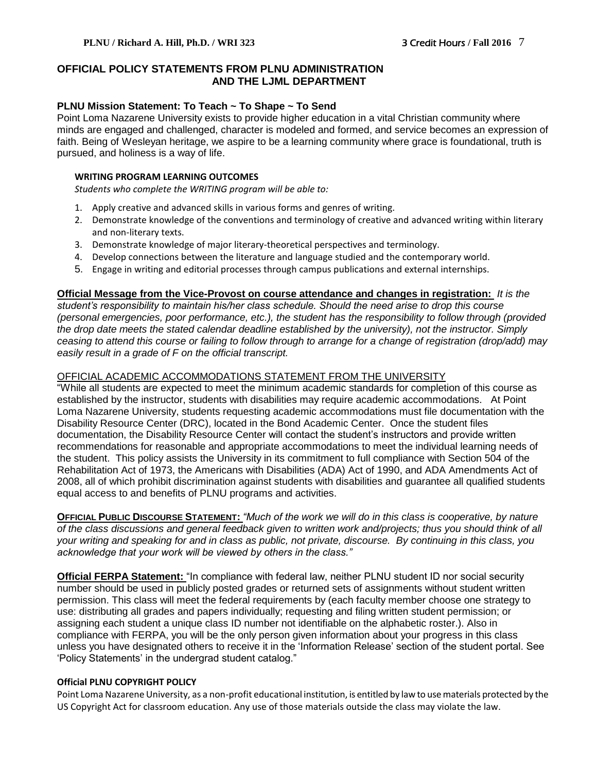#### **OFFICIAL POLICY STATEMENTS FROM PLNU ADMINISTRATION AND THE LJML DEPARTMENT**

#### **PLNU Mission Statement: To Teach ~ To Shape ~ To Send**

Point Loma Nazarene University exists to provide higher education in a vital Christian community where minds are engaged and challenged, character is modeled and formed, and service becomes an expression of faith. Being of Wesleyan heritage, we aspire to be a learning community where grace is foundational, truth is pursued, and holiness is a way of life.

#### **WRITING PROGRAM LEARNING OUTCOMES**

*Students who complete the WRITING program will be able to:*

- 1. Apply creative and advanced skills in various forms and genres of writing.
- 2. Demonstrate knowledge of the conventions and terminology of creative and advanced writing within literary and non-literary texts.
- 3. Demonstrate knowledge of major literary-theoretical perspectives and terminology.
- 4. Develop connections between the literature and language studied and the contemporary world.
- 5. Engage in writing and editorial processes through campus publications and external internships.

#### **Official Message from the Vice-Provost on course attendance and changes in registration:** *It is the*

*student's responsibility to maintain his/her class schedule. Should the need arise to drop this course (personal emergencies, poor performance, etc.), the student has the responsibility to follow through (provided the drop date meets the stated calendar deadline established by the university), not the instructor. Simply ceasing to attend this course or failing to follow through to arrange for a change of registration (drop/add) may easily result in a grade of F on the official transcript.*

#### OFFICIAL ACADEMIC ACCOMMODATIONS STATEMENT FROM THE UNIVERSITY

"While all students are expected to meet the minimum academic standards for completion of this course as established by the instructor, students with disabilities may require academic accommodations. At Point Loma Nazarene University, students requesting academic accommodations must file documentation with the Disability Resource Center (DRC), located in the Bond Academic Center. Once the student files documentation, the Disability Resource Center will contact the student's instructors and provide written recommendations for reasonable and appropriate accommodations to meet the individual learning needs of the student. This policy assists the University in its commitment to full compliance with Section 504 of the Rehabilitation Act of 1973, the Americans with Disabilities (ADA) Act of 1990, and ADA Amendments Act of 2008, all of which prohibit discrimination against students with disabilities and guarantee all qualified students equal access to and benefits of PLNU programs and activities.

**OFFICIAL PUBLIC DISCOURSE STATEMENT:** *"Much of the work we will do in this class is cooperative, by nature of the class discussions and general feedback given to written work and/projects; thus you should think of all your writing and speaking for and in class as public, not private, discourse. By continuing in this class, you acknowledge that your work will be viewed by others in the class."*

**Official FERPA Statement:** "In compliance with federal law, neither PLNU student ID nor social security number should be used in publicly posted grades or returned sets of assignments without student written permission. This class will meet the federal requirements by (each faculty member choose one strategy to use: distributing all grades and papers individually; requesting and filing written student permission; or assigning each student a unique class ID number not identifiable on the alphabetic roster.). Also in compliance with FERPA, you will be the only person given information about your progress in this class unless you have designated others to receive it in the 'Information Release' section of the student portal. See 'Policy Statements' in the undergrad student catalog."

#### **Official PLNU COPYRIGHT POLICY**

Point Loma Nazarene University, as a non-profit educational institution, is entitled by law to use materials protected by the US Copyright Act for classroom education. Any use of those materials outside the class may violate the law.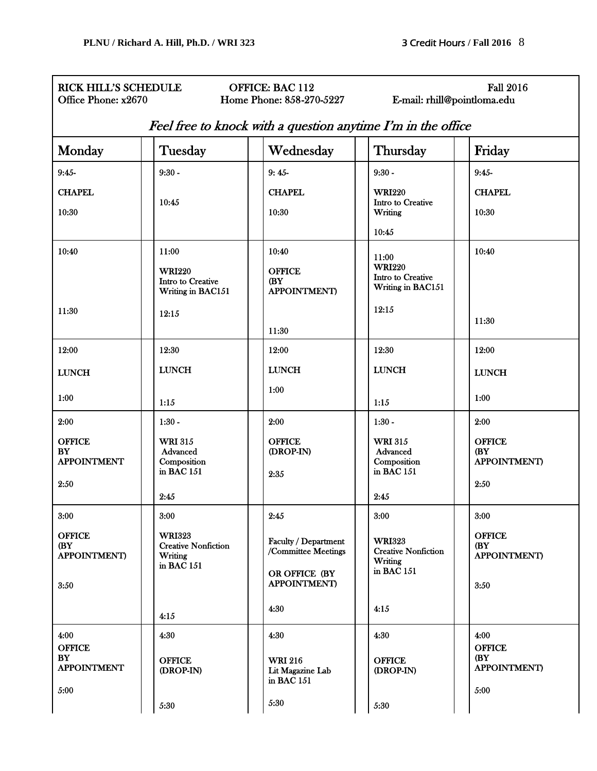# RICK HILL'S SCHEDULE OFFICE: BAC 112 Fall 2016<br>
Office Phone: x2670 Home Phone: 858-270-5227 E-mail: rhill@pointloma.edu

E-mail: rhill@pointloma.edu

### Feel free to knock with a question anytime I'm in the office

| Monday                                                           | Tuesday                                                                              | Wednesday                                                                                            | Thursday                                                                             | Friday                                                       |
|------------------------------------------------------------------|--------------------------------------------------------------------------------------|------------------------------------------------------------------------------------------------------|--------------------------------------------------------------------------------------|--------------------------------------------------------------|
| 9:45                                                             | $9:30 -$                                                                             | $9:45-$                                                                                              | $9:30 -$                                                                             | $9:45-$                                                      |
| <b>CHAPEL</b><br>10:30                                           | 10:45                                                                                | <b>CHAPEL</b><br>10:30                                                                               | <b>WRI220</b><br>Intro to Creative<br>Writing<br>10:45                               | <b>CHAPEL</b><br>10:30                                       |
| 10:40<br>11:30                                                   | 11:00<br><b>WRI220</b><br>Intro to Creative<br>Writing in BAC151<br>12:15            | 10:40<br><b>OFFICE</b><br><b>(BY)</b><br><b>APPOINTMENT)</b><br>11:30                                | 11:00<br><b>WRI220</b><br>Intro to Creative<br>Writing in BAC151<br>12:15            | 10:40<br>11:30                                               |
| 12:00<br><b>LUNCH</b><br>1:00                                    | 12:30<br><b>LUNCH</b><br>1:15                                                        | 12:00<br><b>LUNCH</b><br>1:00                                                                        | 12:30<br><b>LUNCH</b><br>1:15                                                        | 12:00<br><b>LUNCH</b><br>1:00                                |
| 2:00<br><b>OFFICE</b><br><b>BY</b><br><b>APPOINTMENT</b><br>2:50 | $1:30 -$<br><b>WRI 315</b><br>Advanced<br>Composition<br>in BAC 151<br>2:45          | 2:00<br><b>OFFICE</b><br>(DROP-IN)<br>2:35                                                           | $1:30 -$<br><b>WRI 315</b><br>Advanced<br>Composition<br>in BAC 151<br>2:45          | 2:00<br><b>OFFICE</b><br>(BY<br><b>APPOINTMENT</b> )<br>2:50 |
| 3:00<br><b>OFFICE</b><br>(BY<br><b>APPOINTMENT)</b><br>3:50      | 3:00<br><b>WRI323</b><br><b>Creative Nonfiction</b><br>Writing<br>in BAC 151<br>4:15 | 2:45<br>Faculty / Department<br>/Committee Meetings<br>OR OFFICE (BY<br><b>APPOINTMENT</b> )<br>4:30 | 3:00<br><b>WRI323</b><br><b>Creative Nonfiction</b><br>Writing<br>in BAC 151<br>4:15 | 3:00<br><b>OFFICE</b><br>(BY<br><b>APPOINTMENT</b> )<br>3:50 |
| 4:00<br><b>OFFICE</b><br>BY<br><b>APPOINTMENT</b><br>5:00        | 4:30<br><b>OFFICE</b><br>(DROP-IN)<br>5:30                                           | 4:30<br><b>WRI 216</b><br>Lit Magazine Lab<br>in BAC 151<br>5:30                                     | 4:30<br><b>OFFICE</b><br>(DROP-IN)<br>5:30                                           | 4:00<br><b>OFFICE</b><br>(BY<br><b>APPOINTMENT</b> )<br>5:00 |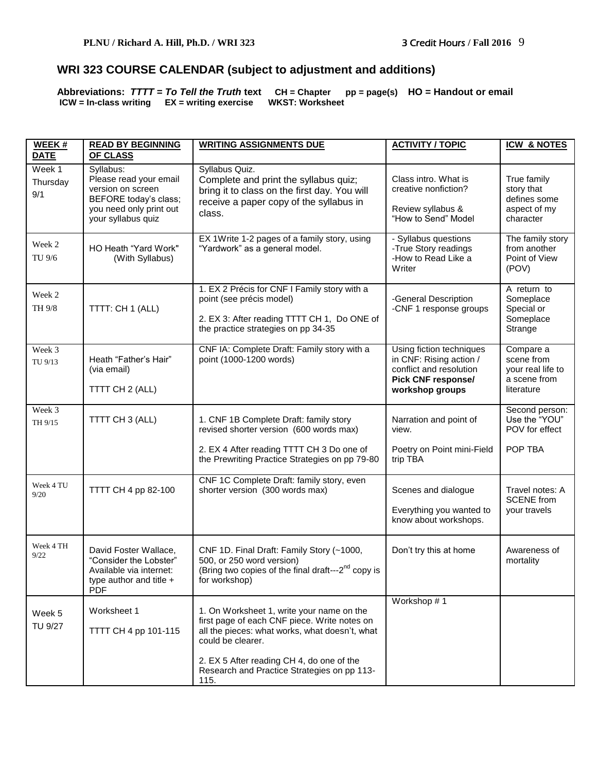# **WRI 323 COURSE CALENDAR (subject to adjustment and additions)**

**Abbreviations:** *TTTT* **=** *To Tell the Truth* **text CH = Chapter pp = page(s) HO = Handout or email ICW = In-class writing EX = writing exercise WKST: Worksheet** 

| WEEK #<br><b>DATE</b>     | <b>READ BY BEGINNING</b><br>OF CLASS                                                                                               | <b>WRITING ASSIGNMENTS DUE</b>                                                                                                                                                                                                                                       | <b>ACTIVITY / TOPIC</b>                                                                                                        | <b>ICW &amp; NOTES</b>                                                     |
|---------------------------|------------------------------------------------------------------------------------------------------------------------------------|----------------------------------------------------------------------------------------------------------------------------------------------------------------------------------------------------------------------------------------------------------------------|--------------------------------------------------------------------------------------------------------------------------------|----------------------------------------------------------------------------|
| Week 1<br>Thursday<br>9/1 | Syllabus:<br>Please read your email<br>version on screen<br>BEFORE today's class;<br>you need only print out<br>your syllabus quiz | Syllabus Quiz.<br>Complete and print the syllabus quiz;<br>bring it to class on the first day. You will<br>receive a paper copy of the syllabus in<br>class.                                                                                                         | Class intro. What is<br>creative nonfiction?<br>Review syllabus &<br>"How to Send" Model                                       | True family<br>story that<br>defines some<br>aspect of my<br>character     |
| Week 2<br>TU 9/6          | HO Heath "Yard Work"<br>(With Syllabus)                                                                                            | EX 1Write 1-2 pages of a family story, using<br>"Yardwork" as a general model.                                                                                                                                                                                       | - Syllabus questions<br>-True Story readings<br>-How to Read Like a<br>Writer                                                  | The family story<br>from another<br>Point of View<br>(POV)                 |
| Week 2<br>TH 9/8          | TTTT: CH 1 (ALL)                                                                                                                   | 1. EX 2 Précis for CNF I Family story with a<br>point (see précis model)<br>2. EX 3: After reading TTTT CH 1, Do ONE of<br>the practice strategies on pp 34-35                                                                                                       | -General Description<br>-CNF 1 response groups                                                                                 | A return to<br>Someplace<br>Special or<br>Someplace<br>Strange             |
| Week 3<br>TU 9/13         | Heath "Father's Hair"<br>(via email)<br>TTTT CH 2 (ALL)                                                                            | CNF IA: Complete Draft: Family story with a<br>point (1000-1200 words)                                                                                                                                                                                               | Using fiction techniques<br>in CNF: Rising action /<br>conflict and resolution<br><b>Pick CNF response/</b><br>workshop groups | Compare a<br>scene from<br>your real life to<br>a scene from<br>literature |
| Week 3<br>TH 9/15         | TTTT CH 3 (ALL)                                                                                                                    | 1. CNF 1B Complete Draft: family story<br>revised shorter version (600 words max)<br>2. EX 4 After reading TTTT CH 3 Do one of<br>the Prewriting Practice Strategies on pp 79-80                                                                                     | Narration and point of<br>view.<br>Poetry on Point mini-Field<br>trip TBA                                                      | Second person:<br>Use the "YOU"<br>POV for effect<br>POP TBA               |
| Week 4 TU<br>9/20         | TTTT CH 4 pp 82-100                                                                                                                | CNF 1C Complete Draft: family story, even<br>shorter version (300 words max)                                                                                                                                                                                         | Scenes and dialogue<br>Everything you wanted to<br>know about workshops.                                                       | Travel notes: A<br><b>SCENE</b> from<br>your travels                       |
| Week 4 TH<br>9/22         | David Foster Wallace,<br>"Consider the Lobster"<br>Available via internet:<br>type author and title +<br><b>PDF</b>                | CNF 1D. Final Draft: Family Story (~1000,<br>500, or 250 word version)<br>(Bring two copies of the final draft---2 <sup>nd</sup> copy is<br>for workshop)                                                                                                            | Don't try this at home                                                                                                         | Awareness of<br>mortality                                                  |
| Week 5<br><b>TU 9/27</b>  | Worksheet 1<br>TTTT CH 4 pp 101-115                                                                                                | 1. On Worksheet 1, write your name on the<br>first page of each CNF piece. Write notes on<br>all the pieces: what works, what doesn't, what<br>could be clearer.<br>2. EX 5 After reading CH 4, do one of the<br>Research and Practice Strategies on pp 113-<br>115. | Workshop #1                                                                                                                    |                                                                            |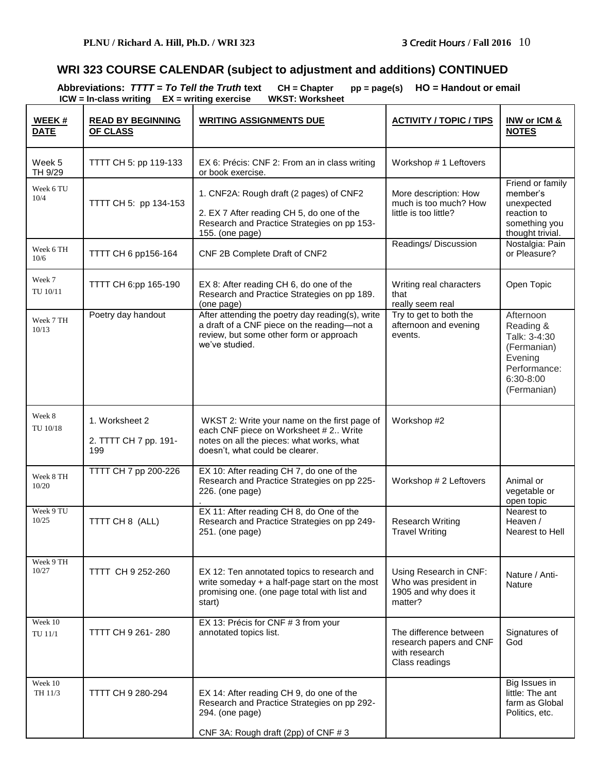# **WRI 323 COURSE CALENDAR (subject to adjustment and additions) CONTINUED**

**Abbreviations:** *TTTT* **=** *To Tell the Truth* **text CH = Chapter pp = page(s) HO = Handout or email ICW = In-class writing EX = writing exercise WKST: Worksheet** 

| WEEK#<br><b>DATE</b>      | <b>READ BY BEGINNING</b><br><b>OF CLASS</b>    | <b>WRITING ASSIGNMENTS DUE</b>                                                                                                                                        | <b>ACTIVITY / TOPIC / TIPS</b>                                                       | INW or ICM &<br><b>NOTES</b>                                                                                 |
|---------------------------|------------------------------------------------|-----------------------------------------------------------------------------------------------------------------------------------------------------------------------|--------------------------------------------------------------------------------------|--------------------------------------------------------------------------------------------------------------|
| Week 5<br>TH 9/29         | TTTT CH 5: pp 119-133                          | EX 6: Précis: CNF 2: From an in class writing<br>or book exercise.                                                                                                    | Workshop # 1 Leftovers                                                               |                                                                                                              |
| Week 6 TU<br>10/4         | TTTT CH 5: pp 134-153                          | 1. CNF2A: Rough draft (2 pages) of CNF2<br>2. EX 7 After reading CH 5, do one of the<br>Research and Practice Strategies on pp 153-<br>155. (one page)                | More description: How<br>much is too much? How<br>little is too little?              | Friend or family<br>member's<br>unexpected<br>reaction to<br>something you<br>thought trivial.               |
| Week 6 TH<br>10/6         | TTTT CH 6 pp156-164                            | CNF 2B Complete Draft of CNF2                                                                                                                                         | Readings/Discussion                                                                  | Nostalgia: Pain<br>or Pleasure?                                                                              |
| Week 7<br>TU 10/11        | TTTT CH 6:pp 165-190                           | EX 8: After reading CH 6, do one of the<br>Research and Practice Strategies on pp 189.<br>(one page)                                                                  | Writing real characters<br>that<br>really seem real                                  | Open Topic                                                                                                   |
| Week 7 TH<br>10/13        | Poetry day handout                             | After attending the poetry day reading(s), write<br>a draft of a CNF piece on the reading-not a<br>review, but some other form or approach<br>we've studied.          | Try to get to both the<br>afternoon and evening<br>events.                           | Afternoon<br>Reading &<br>Talk: 3-4:30<br>(Fermanian)<br>Evening<br>Performance:<br>6:30-8:00<br>(Fermanian) |
| Week 8<br>TU 10/18        | 1. Worksheet 2<br>2. TTTT CH 7 pp. 191-<br>199 | WKST 2: Write your name on the first page of<br>each CNF piece on Worksheet # 2 Write<br>notes on all the pieces: what works, what<br>doesn't, what could be clearer. | Workshop #2                                                                          |                                                                                                              |
| Week 8 TH<br>10/20        | TTTT CH 7 pp 200-226                           | EX 10: After reading CH 7, do one of the<br>Research and Practice Strategies on pp 225-<br>226. (one page)                                                            | Workshop # 2 Leftovers                                                               | Animal or<br>vegetable or<br>open topic                                                                      |
| Week 9 TU<br>10/25        | TTTT CH 8 (ALL)                                | EX 11: After reading CH 8, do One of the<br>Research and Practice Strategies on pp 249-<br>251. (one page)                                                            | <b>Research Writing</b><br><b>Travel Writing</b>                                     | Nearest to<br>Heaven /<br>Nearest to Hell                                                                    |
| Week 9 TH<br>10/27        | TTTT CH 9 252-260                              | EX 12: Ten annotated topics to research and<br>write someday + a half-page start on the most<br>promising one. (one page total with list and<br>start)                | Using Research in CNF:<br>Who was president in<br>1905 and why does it<br>matter?    | Nature / Anti-<br><b>Nature</b>                                                                              |
| Week 10<br><b>TU 11/1</b> | TTTT CH 9 261-280                              | EX 13: Précis for CNF # 3 from your<br>annotated topics list.                                                                                                         | The difference between<br>research papers and CNF<br>with research<br>Class readings | Signatures of<br>God                                                                                         |
| Week 10<br>TH 11/3        | TTTT CH 9 280-294                              | EX 14: After reading CH 9, do one of the<br>Research and Practice Strategies on pp 292-<br>294. (one page)<br>CNF 3A: Rough draft (2pp) of CNF #3                     |                                                                                      | Big Issues in<br>little: The ant<br>farm as Global<br>Politics, etc.                                         |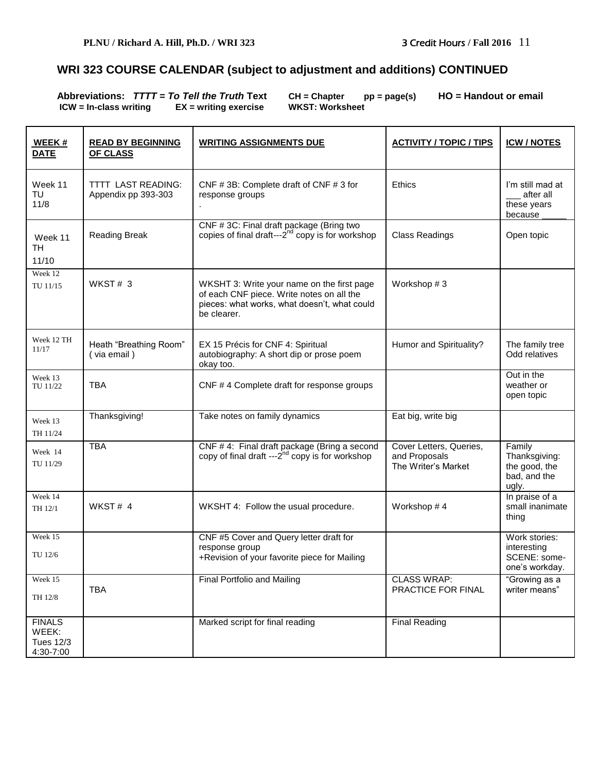# **WRI 323 COURSE CALENDAR (subject to adjustment and additions) CONTINUED**

Abbreviations:  $TTTT = To Tel$  the Truth Text CH = Chapter pp = page(s) HO = Handout or email ICW = In-class writing EX = writing exercise WKST: Worksheet **ICM** = writing exercise

| WEEK#<br><b>DATE</b>                                    | <b>READ BY BEGINNING</b><br>OF CLASS             | <b>WRITING ASSIGNMENTS DUE</b>                                                                                                                         | <b>ACTIVITY / TOPIC / TIPS</b>                                  | <b>ICW/NOTES</b>                                                  |
|---------------------------------------------------------|--------------------------------------------------|--------------------------------------------------------------------------------------------------------------------------------------------------------|-----------------------------------------------------------------|-------------------------------------------------------------------|
| Week 11<br>TU<br>11/8                                   | <b>TTTT LAST READING:</b><br>Appendix pp 393-303 | CNF #3B: Complete draft of CNF #3 for<br>response groups                                                                                               | Ethics                                                          | I'm still mad at<br>after all<br>these years<br>because           |
| Week 11<br><b>TH</b><br>11/10                           | <b>Reading Break</b>                             | CNF #3C: Final draft package (Bring two<br>copies of final draft---2 <sup>nd</sup> copy is for workshop                                                | <b>Class Readings</b>                                           | Open topic                                                        |
| Week 12<br>TU 11/15                                     | WKST#3                                           | WKSHT 3: Write your name on the first page<br>of each CNF piece. Write notes on all the<br>pieces: what works, what doesn't, what could<br>be clearer. | Workshop #3                                                     |                                                                   |
| Week 12 TH<br>11/17                                     | Heath "Breathing Room"<br>(via email)            | EX 15 Précis for CNF 4: Spiritual<br>autobiography: A short dip or prose poem<br>okay too.                                                             | Humor and Spirituality?                                         | The family tree<br>Odd relatives                                  |
| Week 13<br>TU 11/22                                     | <b>TBA</b>                                       | CNF #4 Complete draft for response groups                                                                                                              |                                                                 | Out in the<br>weather or<br>open topic                            |
| Week 13<br>TH 11/24                                     | Thanksgiving!                                    | Take notes on family dynamics                                                                                                                          | Eat big, write big                                              |                                                                   |
| Week 14<br>TU 11/29                                     | <b>TBA</b>                                       | CNF #4: Final draft package (Bring a second<br>copy of final draft ---2 <sup>nd</sup> copy is for workshop                                             | Cover Letters, Queries,<br>and Proposals<br>The Writer's Market | Family<br>Thanksgiving:<br>the good, the<br>bad, and the<br>ugly. |
| Week 14<br>TH 12/1                                      | WKST# 4                                          | WKSHT 4: Follow the usual procedure.                                                                                                                   | Workshop #4                                                     | In praise of a<br>small inanimate<br>thing                        |
| Week 15<br>TU 12/6                                      |                                                  | CNF #5 Cover and Query letter draft for<br>response group<br>+Revision of your favorite piece for Mailing                                              |                                                                 | Work stories:<br>interesting<br>SCENE: some-<br>one's workday.    |
| Week 15<br>TH 12/8                                      | <b>TBA</b>                                       | Final Portfolio and Mailing                                                                                                                            | <b>CLASS WRAP:</b><br>PRACTICE FOR FINAL                        | "Growing as a<br>writer means"                                    |
| <b>FINALS</b><br>WEEK:<br><b>Tues 12/3</b><br>4:30-7:00 |                                                  | Marked script for final reading                                                                                                                        | <b>Final Reading</b>                                            |                                                                   |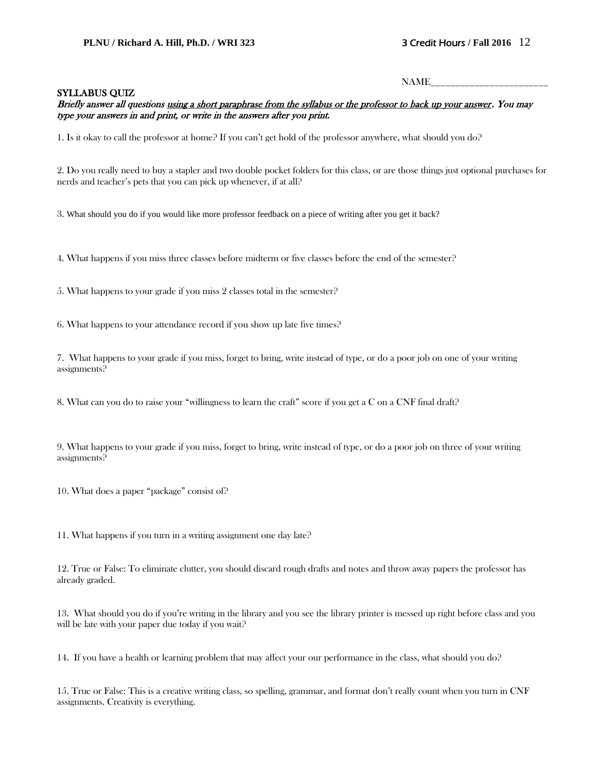NAME\_\_\_\_\_\_\_\_\_\_\_\_\_\_\_\_\_\_\_\_\_\_\_\_

#### SYLLABUS QUIZ

#### Briefly answer all questions using a short paraphrase from the syllabus or the professor to back up your answer. You may type your answers in and print, or write in the answers after you print.

1. Is it okay to call the professor at home? If you can't get hold of the professor anywhere, what should you do?

2. Do you really need to buy a stapler and two double pocket folders for this class, or are those things just optional purchases for nerds and teacher's pets that you can pick up whenever, if at all?

3. What should you do if you would like more professor feedback on a piece of writing after you get it back?

4. What happens if you miss three classes before midterm or five classes before the end of the semester?

5. What happens to your grade if you miss 2 classes total in the semester?

6. What happens to your attendance record if you show up late five times?

7. What happens to your grade if you miss, forget to bring, write instead of type, or do a poor job on one of your writing assignments?

8. What can you do to raise your "willingness to learn the craft" score if you get a C on a CNF final draft?

9. What happens to your grade if you miss, forget to bring, write instead of type, or do a poor job on three of your writing assignments?

10. What does a paper "package" consist of?

11. What happens if you turn in a writing assignment one day late?

12. True or False: To eliminate clutter, you should discard rough drafts and notes and throw away papers the professor has already graded.

13. What should you do if you're writing in the library and you see the library printer is messed up right before class and you will be late with your paper due today if you wait?

14. If you have a health or learning problem that may affect your our performance in the class, what should you do?

15. True or False: This is a creative writing class, so spelling, grammar, and format don't really count when you turn in CNF assignments. Creativity is everything.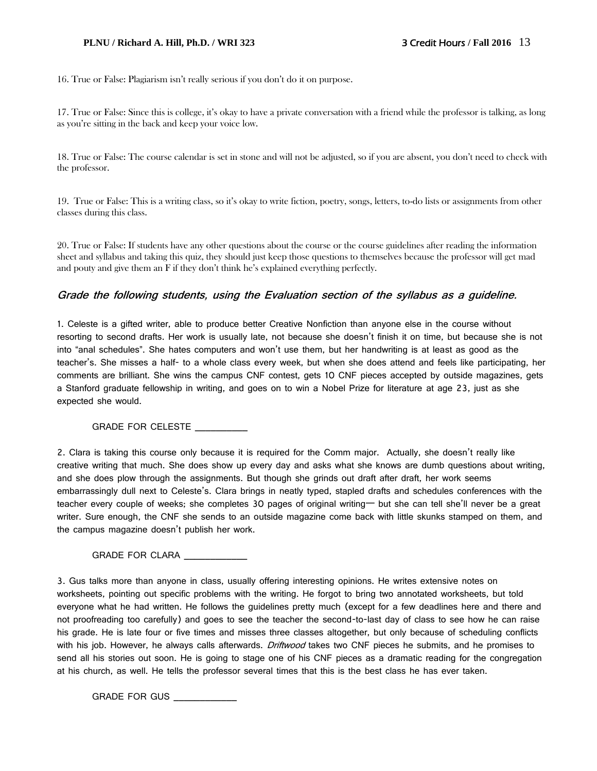#### **PLNU / Richard A. Hill, Ph.D. / WRI 323** 3 Credit Hours **/ Fall 2016** 13

16. True or False: Plagiarism isn't really serious if you don't do it on purpose.

17. True or False: Since this is college, it's okay to have a private conversation with a friend while the professor is talking, as long as you're sitting in the back and keep your voice low.

18. True or False: The course calendar is set in stone and will not be adjusted, so if you are absent, you don't need to check with the professor.

19. True or False: This is a writing class, so it's okay to write fiction, poetry, songs, letters, to-do lists or assignments from other classes during this class.

20. True or False: If students have any other questions about the course or the course guidelines after reading the information sheet and syllabus and taking this quiz, they should just keep those questions to themselves because the professor will get mad and pouty and give them an F if they don't think he's explained everything perfectly.

#### **Grade the following students, using the Evaluation section of the syllabus as a guideline.**

1. Celeste is a gifted writer, able to produce better Creative Nonfiction than anyone else in the course without resorting to second drafts. Her work is usually late, not because she doesn't finish it on time, but because she is not into "anal schedules". She hates computers and won't use them, but her handwriting is at least as good as the teacher's. She misses a half- to a whole class every week, but when she does attend and feels like participating, her comments are brilliant. She wins the campus CNF contest, gets 10 CNF pieces accepted by outside magazines, gets a Stanford graduate fellowship in writing, and goes on to win a Nobel Prize for literature at age 23, just as she expected she would.

#### GRADE FOR CELESTE \_\_\_\_\_\_\_\_\_\_

2. Clara is taking this course only because it is required for the Comm major. Actually, she doesn't really like creative writing that much. She does show up every day and asks what she knows are dumb questions about writing, and she does plow through the assignments. But though she grinds out draft after draft, her work seems embarrassingly dull next to Celeste's. Clara brings in neatly typed, stapled drafts and schedules conferences with the teacher every couple of weeks; she completes 30 pages of original writing— but she can tell she'll never be a great writer. Sure enough, the CNF she sends to an outside magazine come back with little skunks stamped on them, and the campus magazine doesn't publish her work.

GRADE FOR CLARA \_\_\_\_\_\_\_\_\_\_\_\_\_

3. Gus talks more than anyone in class, usually offering interesting opinions. He writes extensive notes on worksheets, pointing out specific problems with the writing. He forgot to bring two annotated worksheets, but told everyone what he had written. He follows the guidelines pretty much (except for a few deadlines here and there and not proofreading too carefully) and goes to see the teacher the second-to-last day of class to see how he can raise his grade. He is late four or five times and misses three classes altogether, but only because of scheduling conflicts with his job. However, he always calls afterwards. *Driftwood* takes two CNF pieces he submits, and he promises to send all his stories out soon. He is going to stage one of his CNF pieces as a dramatic reading for the congregation at his church, as well. He tells the professor several times that this is the best class he has ever taken.

GRADE FOR GUS \_\_\_\_\_\_\_\_\_\_\_\_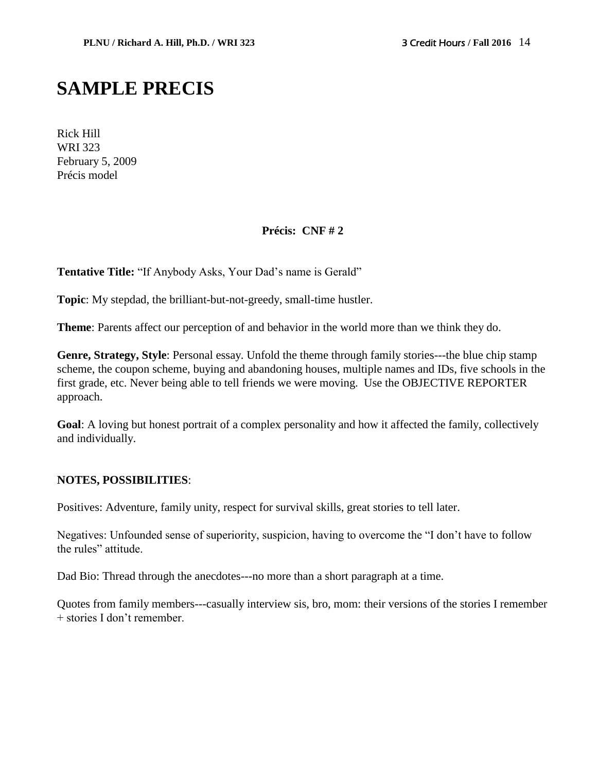# **SAMPLE PRECIS**

Rick Hill WRI 323 February 5, 2009 Précis model

#### **Précis: CNF # 2**

**Tentative Title:** "If Anybody Asks, Your Dad's name is Gerald"

**Topic**: My stepdad, the brilliant-but-not-greedy, small-time hustler.

**Theme**: Parents affect our perception of and behavior in the world more than we think they do.

**Genre, Strategy, Style**: Personal essay. Unfold the theme through family stories---the blue chip stamp scheme, the coupon scheme, buying and abandoning houses, multiple names and IDs, five schools in the first grade, etc. Never being able to tell friends we were moving. Use the OBJECTIVE REPORTER approach.

**Goal**: A loving but honest portrait of a complex personality and how it affected the family, collectively and individually.

#### **NOTES, POSSIBILITIES**:

Positives: Adventure, family unity, respect for survival skills, great stories to tell later.

Negatives: Unfounded sense of superiority, suspicion, having to overcome the "I don't have to follow the rules" attitude.

Dad Bio: Thread through the anecdotes---no more than a short paragraph at a time.

Quotes from family members---casually interview sis, bro, mom: their versions of the stories I remember + stories I don't remember.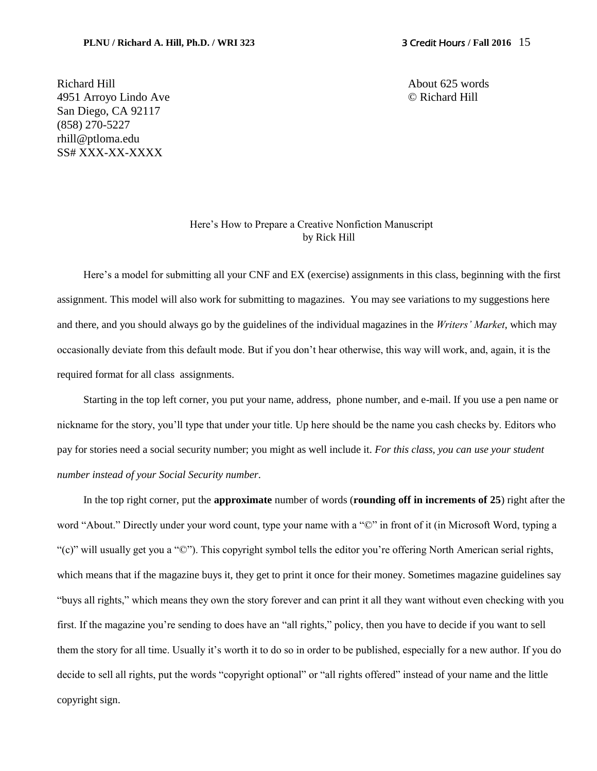Richard Hill About 625 words 4951 Arroyo Lindo Ave © Richard Hill San Diego, CA 92117 (858) 270-5227 rhill@ptloma.edu SS# XXX-XX-XXXX

#### Here's How to Prepare a Creative Nonfiction Manuscript by Rick Hill

Here's a model for submitting all your CNF and EX (exercise) assignments in this class, beginning with the first assignment. This model will also work for submitting to magazines. You may see variations to my suggestions here and there, and you should always go by the guidelines of the individual magazines in the *Writers' Market*, which may occasionally deviate from this default mode. But if you don't hear otherwise, this way will work, and, again, it is the required format for all class assignments.

Starting in the top left corner, you put your name, address, phone number, and e-mail. If you use a pen name or nickname for the story, you'll type that under your title. Up here should be the name you cash checks by. Editors who pay for stories need a social security number; you might as well include it. *For this class, you can use your student number instead of your Social Security number.*

In the top right corner, put the **approximate** number of words (**rounding off in increments of 25**) right after the word "About." Directly under your word count, type your name with a "©" in front of it (in Microsoft Word, typing a "(c)" will usually get you a "©"). This copyright symbol tells the editor you're offering North American serial rights, which means that if the magazine buys it, they get to print it once for their money. Sometimes magazine guidelines say "buys all rights," which means they own the story forever and can print it all they want without even checking with you first. If the magazine you're sending to does have an "all rights," policy, then you have to decide if you want to sell them the story for all time. Usually it's worth it to do so in order to be published, especially for a new author. If you do decide to sell all rights, put the words "copyright optional" or "all rights offered" instead of your name and the little copyright sign.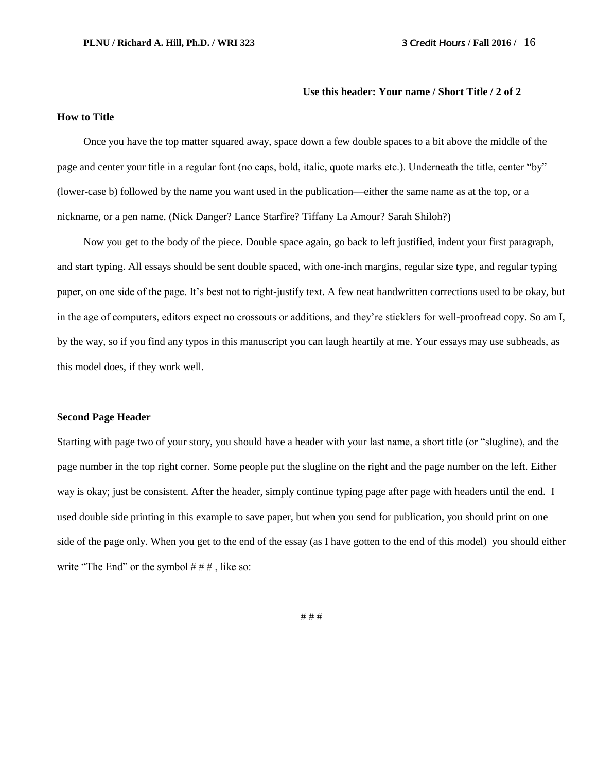#### **Use this header: Your name / Short Title / 2 of 2**

#### **How to Title**

Once you have the top matter squared away, space down a few double spaces to a bit above the middle of the page and center your title in a regular font (no caps, bold, italic, quote marks etc.). Underneath the title, center "by" (lower-case b) followed by the name you want used in the publication—either the same name as at the top, or a nickname, or a pen name. (Nick Danger? Lance Starfire? Tiffany La Amour? Sarah Shiloh?)

Now you get to the body of the piece. Double space again, go back to left justified, indent your first paragraph, and start typing. All essays should be sent double spaced, with one-inch margins, regular size type, and regular typing paper, on one side of the page. It's best not to right-justify text. A few neat handwritten corrections used to be okay, but in the age of computers, editors expect no crossouts or additions, and they're sticklers for well-proofread copy. So am I, by the way, so if you find any typos in this manuscript you can laugh heartily at me. Your essays may use subheads, as this model does, if they work well.

#### **Second Page Header**

Starting with page two of your story, you should have a header with your last name, a short title (or "slugline), and the page number in the top right corner. Some people put the slugline on the right and the page number on the left. Either way is okay; just be consistent. After the header, simply continue typing page after page with headers until the end. I used double side printing in this example to save paper, but when you send for publication, you should print on one side of the page only. When you get to the end of the essay (as I have gotten to the end of this model) you should either write "The End" or the symbol  $# # #$ , like so:

# # #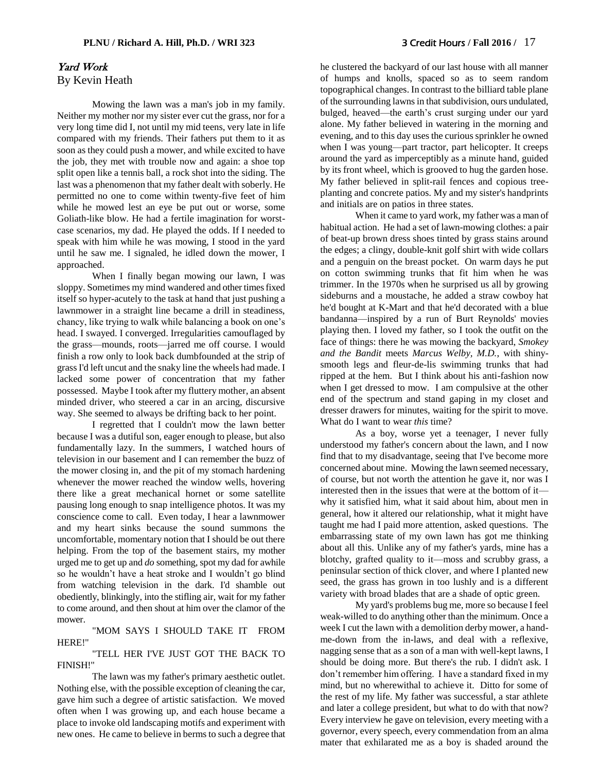#### Yard Work By Kevin Heath

Mowing the lawn was a man's job in my family. Neither my mother nor my sister ever cut the grass, nor for a very long time did I, not until my mid teens, very late in life compared with my friends. Their fathers put them to it as soon as they could push a mower, and while excited to have the job, they met with trouble now and again: a shoe top split open like a tennis ball, a rock shot into the siding. The last was a phenomenon that my father dealt with soberly. He permitted no one to come within twenty-five feet of him while he mowed lest an eye be put out or worse, some Goliath-like blow. He had a fertile imagination for worstcase scenarios, my dad. He played the odds. If I needed to speak with him while he was mowing, I stood in the yard until he saw me. I signaled, he idled down the mower, I approached.

When I finally began mowing our lawn, I was sloppy. Sometimes my mind wandered and other times fixed itself so hyper-acutely to the task at hand that just pushing a lawnmower in a straight line became a drill in steadiness, chancy, like trying to walk while balancing a book on one's head. I swayed. I converged. Irregularities camouflaged by the grass—mounds, roots—jarred me off course. I would finish a row only to look back dumbfounded at the strip of grass I'd left uncut and the snaky line the wheels had made. I lacked some power of concentration that my father possessed. Maybe I took after my fluttery mother, an absent minded driver, who steered a car in an arcing, discursive way. She seemed to always be drifting back to her point.

I regretted that I couldn't mow the lawn better because I was a dutiful son, eager enough to please, but also fundamentally lazy. In the summers, I watched hours of television in our basement and I can remember the buzz of the mower closing in, and the pit of my stomach hardening whenever the mower reached the window wells, hovering there like a great mechanical hornet or some satellite pausing long enough to snap intelligence photos. It was my conscience come to call. Even today, I hear a lawnmower and my heart sinks because the sound summons the uncomfortable, momentary notion that I should be out there helping. From the top of the basement stairs, my mother urged me to get up and *do* something, spot my dad for awhile so he wouldn't have a heat stroke and I wouldn't go blind from watching television in the dark. I'd shamble out obediently, blinkingly, into the stifling air, wait for my father to come around, and then shout at him over the clamor of the mower.

"MOM SAYS I SHOULD TAKE IT FROM HERE!"

"TELL HER I'VE JUST GOT THE BACK TO FINISH!"

The lawn was my father's primary aesthetic outlet. Nothing else, with the possible exception of cleaning the car, gave him such a degree of artistic satisfaction. We moved often when I was growing up, and each house became a place to invoke old landscaping motifs and experiment with new ones. He came to believe in berms to such a degree that he clustered the backyard of our last house with all manner of humps and knolls, spaced so as to seem random topographical changes. In contrast to the billiard table plane of the surrounding lawns in that subdivision, ours undulated, bulged, heaved—the earth's crust surging under our yard alone. My father believed in watering in the morning and evening, and to this day uses the curious sprinkler he owned when I was young—part tractor, part helicopter. It creeps around the yard as imperceptibly as a minute hand, guided by its front wheel, which is grooved to hug the garden hose. My father believed in split-rail fences and copious treeplanting and concrete patios. My and my sister's handprints and initials are on patios in three states.

When it came to yard work, my father was a man of habitual action. He had a set of lawn-mowing clothes: a pair of beat-up brown dress shoes tinted by grass stains around the edges; a clingy, double-knit golf shirt with wide collars and a penguin on the breast pocket. On warm days he put on cotton swimming trunks that fit him when he was trimmer. In the 1970s when he surprised us all by growing sideburns and a moustache, he added a straw cowboy hat he'd bought at K-Mart and that he'd decorated with a blue bandanna—inspired by a run of Burt Reynolds' movies playing then. I loved my father, so I took the outfit on the face of things: there he was mowing the backyard, *Smokey and the Bandit* meets *Marcus Welby, M.D.*, with shinysmooth legs and fleur-de-lis swimming trunks that had ripped at the hem. But I think about his anti-fashion now when I get dressed to mow. I am compulsive at the other end of the spectrum and stand gaping in my closet and dresser drawers for minutes, waiting for the spirit to move. What do I want to wear *this* time?

As a boy, worse yet a teenager, I never fully understood my father's concern about the lawn, and I now find that to my disadvantage, seeing that I've become more concerned about mine. Mowing the lawn seemed necessary, of course, but not worth the attention he gave it, nor was I interested then in the issues that were at the bottom of it why it satisfied him, what it said about him, about men in general, how it altered our relationship, what it might have taught me had I paid more attention, asked questions. The embarrassing state of my own lawn has got me thinking about all this. Unlike any of my father's yards, mine has a blotchy, grafted quality to it—moss and scrubby grass, a peninsular section of thick clover, and where I planted new seed, the grass has grown in too lushly and is a different variety with broad blades that are a shade of optic green.

My yard's problems bug me, more so because I feel weak-willed to do anything other than the minimum. Once a week I cut the lawn with a demolition derby mower, a handme-down from the in-laws, and deal with a reflexive, nagging sense that as a son of a man with well-kept lawns, I should be doing more. But there's the rub. I didn't ask. I don't remember him offering. I have a standard fixed in my mind, but no wherewithal to achieve it. Ditto for some of the rest of my life. My father was successful, a star athlete and later a college president, but what to do with that now? Every interview he gave on television, every meeting with a governor, every speech, every commendation from an alma mater that exhilarated me as a boy is shaded around the